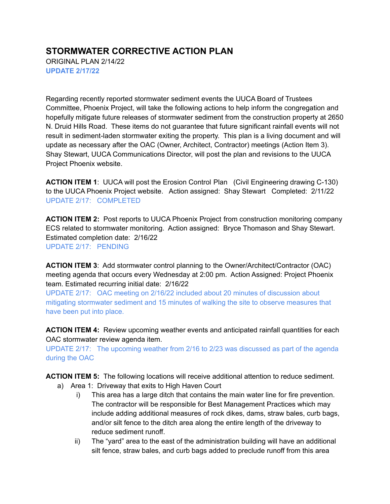## **STORMWATER CORRECTIVE ACTION PLAN**

ORIGINAL PLAN 2/14/22 **UPDATE 2/17/22**

Regarding recently reported stormwater sediment events the UUCA Board of Trustees Committee, Phoenix Project, will take the following actions to help inform the congregation and hopefully mitigate future releases of stormwater sediment from the construction property at 2650 N. Druid Hills Road. These items do not guarantee that future significant rainfall events will not result in sediment-laden stormwater exiting the property. This plan is a living document and will update as necessary after the OAC (Owner, Architect, Contractor) meetings (Action Item 3). Shay Stewart, UUCA Communications Director, will post the plan and revisions to the UUCA Project Phoenix website.

**ACTION ITEM 1**: UUCA will post the Erosion Control Plan (Civil Engineering drawing C-130) to the UUCA Phoenix Project website. Action assigned: Shay Stewart Completed: 2/11/22 UPDATE 2/17: COMPLETED

**ACTION ITEM 2:** Post reports to UUCA Phoenix Project from construction monitoring company ECS related to stormwater monitoring. Action assigned: Bryce Thomason and Shay Stewart. Estimated completion date: 2/16/22 UPDATE 2/17: PENDING

**ACTION ITEM 3**: Add stormwater control planning to the Owner/Architect/Contractor (OAC) meeting agenda that occurs every Wednesday at 2:00 pm. Action Assigned: Project Phoenix team. Estimated recurring initial date: 2/16/22

UPDATE 2/17: OAC meeting on 2/16/22 included about 20 minutes of discussion about mitigating stormwater sediment and 15 minutes of walking the site to observe measures that have been put into place.

**ACTION ITEM 4:** Review upcoming weather events and anticipated rainfall quantities for each OAC stormwater review agenda item.

UPDATE 2/17: The upcoming weather from 2/16 to 2/23 was discussed as part of the agenda during the OAC

**ACTION ITEM 5:** The following locations will receive additional attention to reduce sediment.

- a) Area 1: Driveway that exits to High Haven Court
	- i) This area has a large ditch that contains the main water line for fire prevention. The contractor will be responsible for Best Management Practices which may include adding additional measures of rock dikes, dams, straw bales, curb bags, and/or silt fence to the ditch area along the entire length of the driveway to reduce sediment runoff.
	- ii) The "yard" area to the east of the administration building will have an additional silt fence, straw bales, and curb bags added to preclude runoff from this area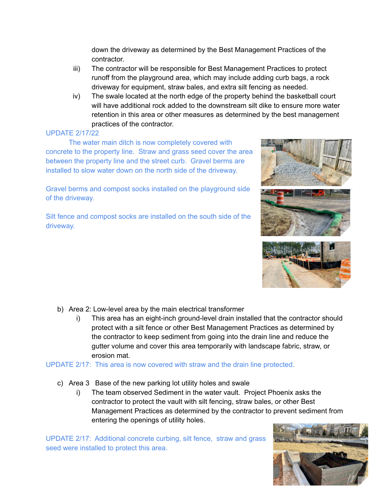down the driveway as determined by the Best Management Practices of the contractor.

- iii) The contractor will be responsible for Best Management Practices to protect runoff from the playground area, which may include adding curb bags, a rock driveway for equipment, straw bales, and extra silt fencing as needed.
- iv) The swale located at the north edge of the property behind the basketball court will have additional rock added to the downstream silt dike to ensure more water retention in this area or other measures as determined by the best management practices of the contractor.

## UPDATE 2/17/22

The water main ditch is now completely covered with concrete to the property line. Straw and grass seed cover the area between the property line and the street curb. Gravel berms are installed to slow water down on the north side of the driveway.

Gravel berms and compost socks installed on the playground side of the driveway.

Silt fence and compost socks are installed on the south side of the driveway.

- b) Area 2: Low-level area by the main electrical transformer
	- i) This area has an eight-inch ground-level drain installed that the contractor should protect with a silt fence or other Best Management Practices as determined by the contractor to keep sediment from going into the drain line and reduce the gutter volume and cover this area temporarily with landscape fabric, straw, or erosion mat.

UPDATE 2/17: This area is now covered with straw and the drain line protected.

- c) Area 3 Base of the new parking lot utility holes and swale
	- i) The team observed Sediment in the water vault. Project Phoenix asks the contractor to protect the vault with silt fencing, straw bales, or other Best Management Practices as determined by the contractor to prevent sediment from entering the openings of utility holes.

UPDATE 2/17: Additional concrete curbing, silt fence, straw and grass seed were installed to protect this area.